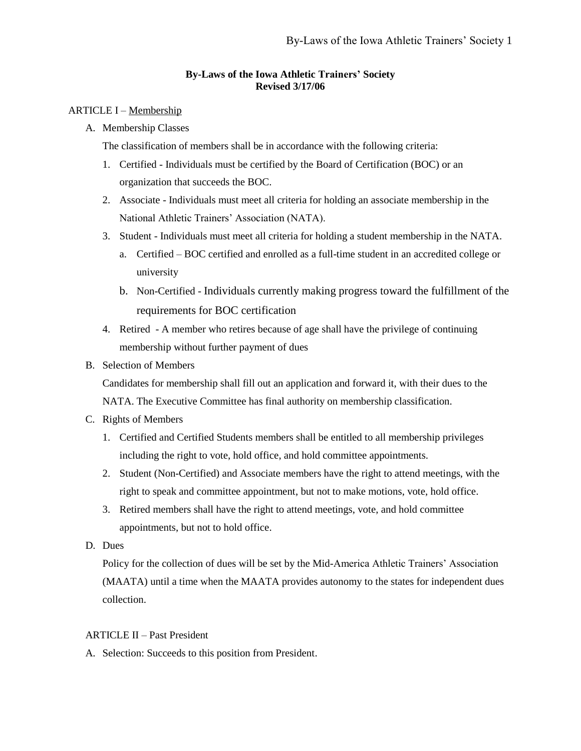# **By-Laws of the Iowa Athletic Trainers' Society Revised 3/17/06**

# ARTICLE I – Membership

A. Membership Classes

The classification of members shall be in accordance with the following criteria:

- 1. Certified Individuals must be certified by the Board of Certification (BOC) or an organization that succeeds the BOC.
- 2. Associate Individuals must meet all criteria for holding an associate membership in the National Athletic Trainers' Association (NATA).
- 3. Student Individuals must meet all criteria for holding a student membership in the NATA.
	- a. Certified BOC certified and enrolled as a full-time student in an accredited college or university
	- b. Non-Certified Individuals currently making progress toward the fulfillment of the requirements for BOC certification
- 4. Retired A member who retires because of age shall have the privilege of continuing membership without further payment of dues
- B. Selection of Members

Candidates for membership shall fill out an application and forward it, with their dues to the NATA. The Executive Committee has final authority on membership classification.

- C. Rights of Members
	- 1. Certified and Certified Students members shall be entitled to all membership privileges including the right to vote, hold office, and hold committee appointments.
	- 2. Student (Non-Certified) and Associate members have the right to attend meetings, with the right to speak and committee appointment, but not to make motions, vote, hold office.
	- 3. Retired members shall have the right to attend meetings, vote, and hold committee appointments, but not to hold office.
- D. Dues

Policy for the collection of dues will be set by the Mid-America Athletic Trainers' Association (MAATA) until a time when the MAATA provides autonomy to the states for independent dues collection.

# ARTICLE II – Past President

A. Selection: Succeeds to this position from President.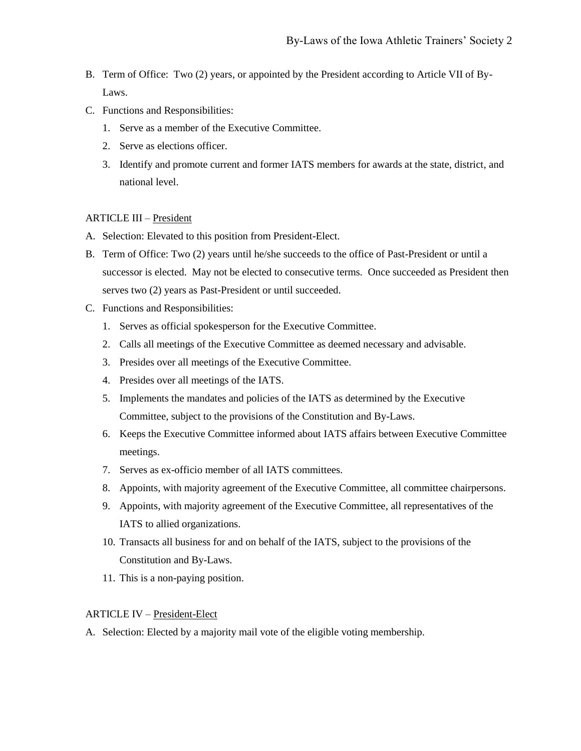- B. Term of Office: Two (2) years, or appointed by the President according to Article VII of By-Laws.
- C. Functions and Responsibilities:
	- 1. Serve as a member of the Executive Committee.
	- 2. Serve as elections officer.
	- 3. Identify and promote current and former IATS members for awards at the state, district, and national level.

# ARTICLE III – President

- A. Selection: Elevated to this position from President-Elect.
- B. Term of Office: Two (2) years until he/she succeeds to the office of Past-President or until a successor is elected. May not be elected to consecutive terms. Once succeeded as President then serves two (2) years as Past-President or until succeeded.
- C. Functions and Responsibilities:
	- 1. Serves as official spokesperson for the Executive Committee.
	- 2. Calls all meetings of the Executive Committee as deemed necessary and advisable.
	- 3. Presides over all meetings of the Executive Committee.
	- 4. Presides over all meetings of the IATS.
	- 5. Implements the mandates and policies of the IATS as determined by the Executive Committee, subject to the provisions of the Constitution and By-Laws.
	- 6. Keeps the Executive Committee informed about IATS affairs between Executive Committee meetings.
	- 7. Serves as ex-officio member of all IATS committees.
	- 8. Appoints, with majority agreement of the Executive Committee, all committee chairpersons.
	- 9. Appoints, with majority agreement of the Executive Committee, all representatives of the IATS to allied organizations.
	- 10. Transacts all business for and on behalf of the IATS, subject to the provisions of the Constitution and By-Laws.
	- 11. This is a non-paying position.

#### ARTICLE IV – President-Elect

A. Selection: Elected by a majority mail vote of the eligible voting membership.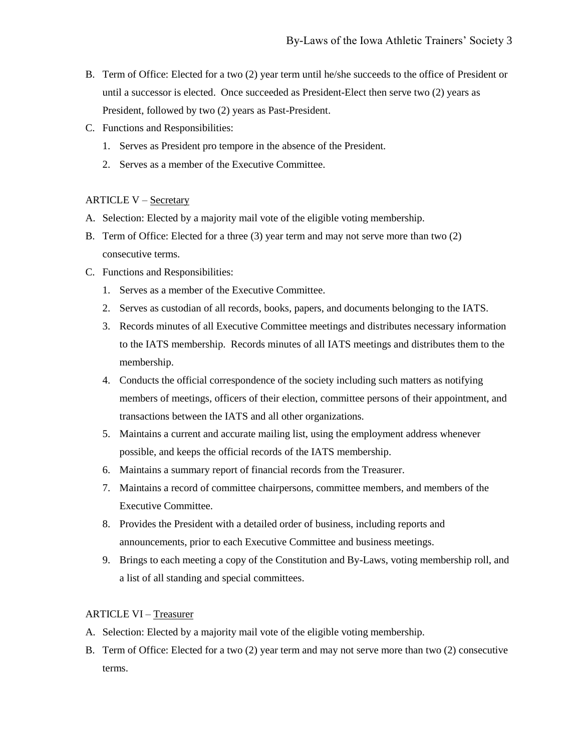- B. Term of Office: Elected for a two (2) year term until he/she succeeds to the office of President or until a successor is elected. Once succeeded as President-Elect then serve two (2) years as President, followed by two (2) years as Past-President.
- C. Functions and Responsibilities:
	- 1. Serves as President pro tempore in the absence of the President.
	- 2. Serves as a member of the Executive Committee.

# ARTICLE V – Secretary

- A. Selection: Elected by a majority mail vote of the eligible voting membership.
- B. Term of Office: Elected for a three (3) year term and may not serve more than two (2) consecutive terms.
- C. Functions and Responsibilities:
	- 1. Serves as a member of the Executive Committee.
	- 2. Serves as custodian of all records, books, papers, and documents belonging to the IATS.
	- 3. Records minutes of all Executive Committee meetings and distributes necessary information to the IATS membership. Records minutes of all IATS meetings and distributes them to the membership.
	- 4. Conducts the official correspondence of the society including such matters as notifying members of meetings, officers of their election, committee persons of their appointment, and transactions between the IATS and all other organizations.
	- 5. Maintains a current and accurate mailing list, using the employment address whenever possible, and keeps the official records of the IATS membership.
	- 6. Maintains a summary report of financial records from the Treasurer.
	- 7. Maintains a record of committee chairpersons, committee members, and members of the Executive Committee.
	- 8. Provides the President with a detailed order of business, including reports and announcements, prior to each Executive Committee and business meetings.
	- 9. Brings to each meeting a copy of the Constitution and By-Laws, voting membership roll, and a list of all standing and special committees.

# ARTICLE VI – Treasurer

- A. Selection: Elected by a majority mail vote of the eligible voting membership.
- B. Term of Office: Elected for a two (2) year term and may not serve more than two (2) consecutive terms.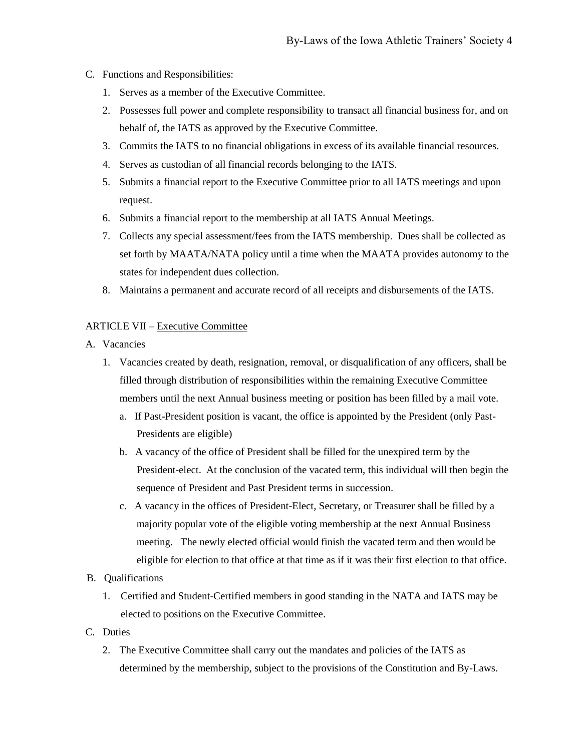- C. Functions and Responsibilities:
	- 1. Serves as a member of the Executive Committee.
	- 2. Possesses full power and complete responsibility to transact all financial business for, and on behalf of, the IATS as approved by the Executive Committee.
	- 3. Commits the IATS to no financial obligations in excess of its available financial resources.
	- 4. Serves as custodian of all financial records belonging to the IATS.
	- 5. Submits a financial report to the Executive Committee prior to all IATS meetings and upon request.
	- 6. Submits a financial report to the membership at all IATS Annual Meetings.
	- 7. Collects any special assessment/fees from the IATS membership. Dues shall be collected as set forth by MAATA/NATA policy until a time when the MAATA provides autonomy to the states for independent dues collection.
	- 8. Maintains a permanent and accurate record of all receipts and disbursements of the IATS.

# ARTICLE VII – Executive Committee

- A. Vacancies
	- 1. Vacancies created by death, resignation, removal, or disqualification of any officers, shall be filled through distribution of responsibilities within the remaining Executive Committee members until the next Annual business meeting or position has been filled by a mail vote.
		- a. If Past-President position is vacant, the office is appointed by the President (only Past-Presidents are eligible)
		- b. A vacancy of the office of President shall be filled for the unexpired term by the President-elect. At the conclusion of the vacated term, this individual will then begin the sequence of President and Past President terms in succession.
		- c. A vacancy in the offices of President-Elect, Secretary, or Treasurer shall be filled by a majority popular vote of the eligible voting membership at the next Annual Business meeting. The newly elected official would finish the vacated term and then would be eligible for election to that office at that time as if it was their first election to that office.
- B. Qualifications
	- 1. Certified and Student-Certified members in good standing in the NATA and IATS may be elected to positions on the Executive Committee.
- C. Duties
	- 2. The Executive Committee shall carry out the mandates and policies of the IATS as determined by the membership, subject to the provisions of the Constitution and By-Laws.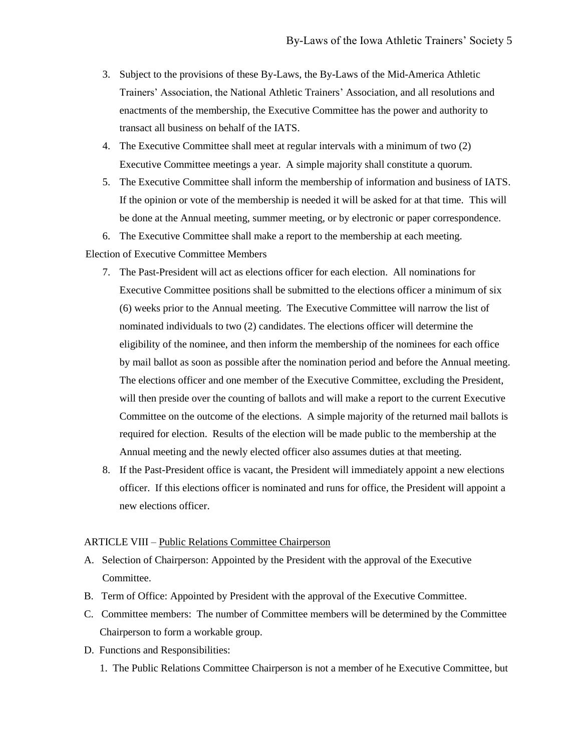- 3. Subject to the provisions of these By-Laws, the By-Laws of the Mid-America Athletic Trainers' Association, the National Athletic Trainers' Association, and all resolutions and enactments of the membership, the Executive Committee has the power and authority to transact all business on behalf of the IATS.
- 4. The Executive Committee shall meet at regular intervals with a minimum of two (2) Executive Committee meetings a year. A simple majority shall constitute a quorum.
- 5. The Executive Committee shall inform the membership of information and business of IATS. If the opinion or vote of the membership is needed it will be asked for at that time. This will be done at the Annual meeting, summer meeting, or by electronic or paper correspondence.
- 6. The Executive Committee shall make a report to the membership at each meeting.

### Election of Executive Committee Members

- 7. The Past-President will act as elections officer for each election. All nominations for Executive Committee positions shall be submitted to the elections officer a minimum of six (6) weeks prior to the Annual meeting. The Executive Committee will narrow the list of nominated individuals to two (2) candidates. The elections officer will determine the eligibility of the nominee, and then inform the membership of the nominees for each office by mail ballot as soon as possible after the nomination period and before the Annual meeting. The elections officer and one member of the Executive Committee, excluding the President, will then preside over the counting of ballots and will make a report to the current Executive Committee on the outcome of the elections. A simple majority of the returned mail ballots is required for election. Results of the election will be made public to the membership at the Annual meeting and the newly elected officer also assumes duties at that meeting.
- 8. If the Past-President office is vacant, the President will immediately appoint a new elections officer. If this elections officer is nominated and runs for office, the President will appoint a new elections officer.

### ARTICLE VIII – Public Relations Committee Chairperson

- A. Selection of Chairperson: Appointed by the President with the approval of the Executive Committee.
- B. Term of Office: Appointed by President with the approval of the Executive Committee.
- C. Committee members: The number of Committee members will be determined by the Committee Chairperson to form a workable group.
- D. Functions and Responsibilities:
	- 1. The Public Relations Committee Chairperson is not a member of he Executive Committee, but